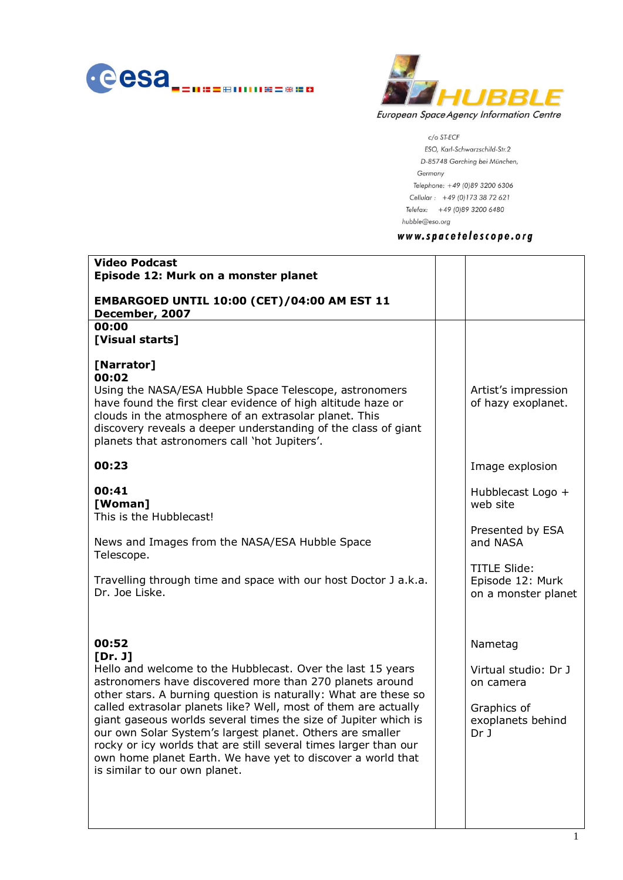



 $c$ /o ST-ECF ESO, Karl-Schwarzschild-Str.2 D-85748 Garching bei München, Germany Telephone: +49 (0)89 3200 6306 Cellular: +49 (0)173 38 72 621 Telefax: +49 (0)89 3200 6480 hubble@eso.org

# www.spacetelescope.org

| Artist's impression<br>of hazy exoplanet.                                                |
|------------------------------------------------------------------------------------------|
| Image explosion                                                                          |
| Hubblecast Logo +<br>web site                                                            |
| Presented by ESA<br>and NASA                                                             |
| <b>TITLE Slide:</b><br>Episode 12: Murk<br>on a monster planet                           |
| Nametag<br>Virtual studio: Dr J<br>on camera<br>Graphics of<br>exoplanets behind<br>Dr J |
|                                                                                          |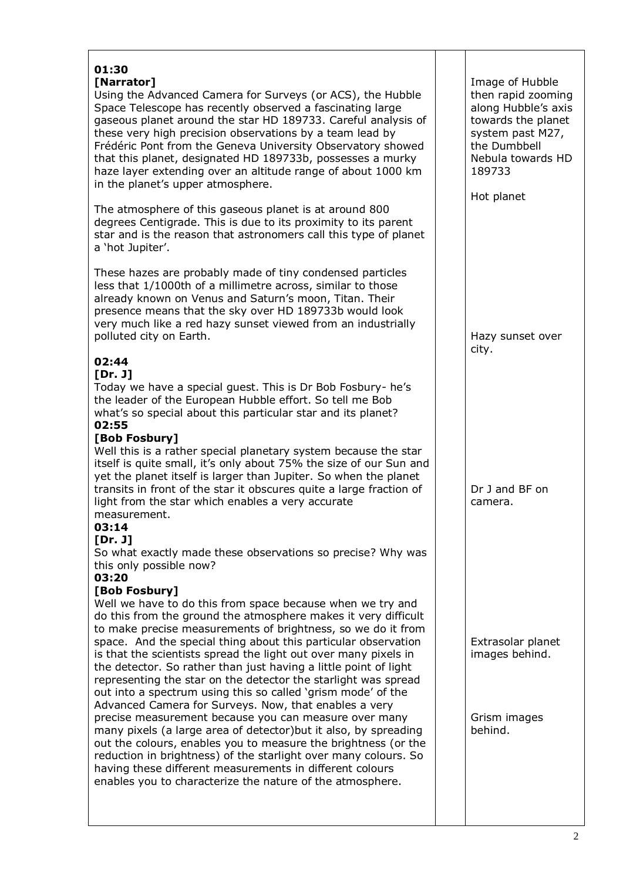## **01:30 [Narrator]**

Using the Advanced Camera for Surveys (or ACS), the Hubble Space Telescope has recently observed a fascinating large gaseous planet around the star HD 189733. Careful analysis of these very high precision observations by a team lead by Frédéric Pont from the Geneva University Observatory showed that this planet, designated HD 189733b, possesses a murky haze layer extending over an altitude range of about 1000 km in the planet's upper atmosphere.

The atmosphere of this gaseous planet is at around 800 degrees Centigrade. This is due to its proximity to its parent star and is the reason that astronomers call this type of planet a 'hot Jupiter'.

These hazes are probably made of tiny condensed particles less that 1/1000th of a millimetre across, similar to those already known on Venus and Saturn's moon, Titan. Their presence means that the sky over HD 189733b would look very much like a red hazy sunset viewed from an industrially polluted city on Earth.

## **02:44**

#### **[Dr. J]**

Today we have a special guest. This is Dr Bob Fosbury- he's the leader of the European Hubble effort. So tell me Bob what's so special about this particular star and its planet? **02:55**

## **[Bob Fosbury]**

Well this is a rather special planetary system because the star itself is quite small, it's only about 75% the size of our Sun and yet the planet itself is larger than Jupiter. So when the planet transits in front of the star it obscures quite a large fraction of light from the star which enables a very accurate measurement.

## **03:14**

#### **[Dr. J]**

So what exactly made these observations so precise? Why was this only possible now?

#### **03:20**

#### **[Bob Fosbury]**

Well we have to do this from space because when we try and do this from the ground the atmosphere makes it very difficult to make precise measurements of brightness, so we do it from space. And the special thing about this particular observation is that the scientists spread the light out over many pixels in the detector. So rather than just having a little point of light representing the star on the detector the starlight was spread out into a spectrum using this so called 'grism mode' of the Advanced Camera for Surveys. Now, that enables a very precise measurement because you can measure over many many pixels (a large area of detector)but it also, by spreading out the colours, enables you to measure the brightness (or the reduction in brightness) of the starlight over many colours. So having these different measurements in different colours enables you to characterize the nature of the atmosphere.

Image of Hubble then rapid zooming along Hubble's axis towards the planet system past M27, the Dumbbell Nebula towards HD 189733

Hot planet

Hazy sunset over city.

Dr J and BF on camera.

Extrasolar planet images behind.

Grism images behind.